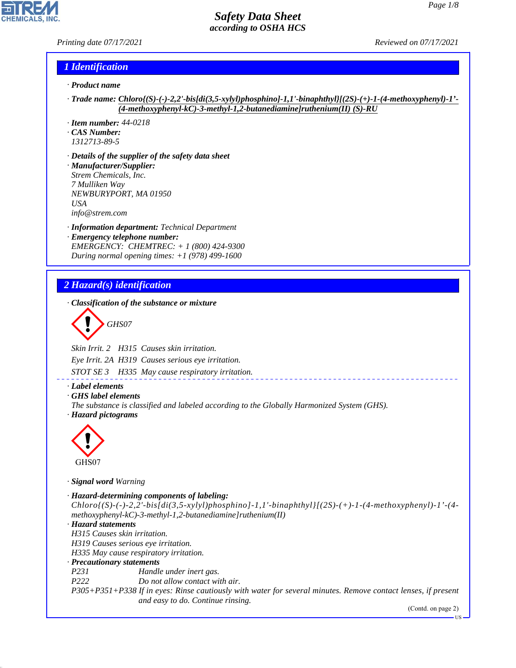#### *Printing date 07/17/2021 Reviewed on 07/17/2021*

#### *1 Identification*

- *· Product name*
- *· Trade name: Chloro{(S)-(-)-2,2'-bis[di(3,5-xylyl)phosphino]-1,1'-binaphthyl}[(2S)-(+)-1-(4-methoxyphenyl)-1'- (4-methoxyphenyl-kC)-3-methyl-1,2-butanediamine]ruthenium(II) (S)-RU*
- *· Item number: 44-0218*
- *· CAS Number: 1312713-89-5*
- *· Details of the supplier of the safety data sheet · Manufacturer/Supplier: Strem Chemicals, Inc. 7 Mulliken Way NEWBURYPORT, MA 01950 USA info@strem.com*
- 
- *· Information department: Technical Department · Emergency telephone number: EMERGENCY: CHEMTREC: + 1 (800) 424-9300 During normal opening times: +1 (978) 499-1600*

## *2 Hazard(s) identification*

*· Classification of the substance or mixture*

$$
\bigotimes \mathrm{GH}S07
$$

*Skin Irrit. 2 H315 Causes skin irritation.*

*Eye Irrit. 2A H319 Causes serious eye irritation.*

*STOT SE 3 H335 May cause respiratory irritation.*

- *· Label elements*
- *· GHS label elements*
- *The substance is classified and labeled according to the Globally Harmonized System (GHS). · Hazard pictograms*



GHS07

44.1.1

*· Signal word Warning*

```
· Hazard-determining components of labeling:
 Chloro(S)-(-)-2,2'-bis[di(3,5-xylyl)phosphino]-1,1'-binaphthyl][(2S)-(+)-1-(4-methoxyphenyl)-1'-(4-
methoxyphenyl-kC)-3-methyl-1,2-butanediamine]ruthenium(II)
· Hazard statements
H315 Causes skin irritation.
H319 Causes serious eye irritation.
H335 May cause respiratory irritation.
· Precautionary statements
P231 Handle under inert gas.
P222 Do not allow contact with air.
P305+P351+P338 If in eyes: Rinse cautiously with water for several minutes. Remove contact lenses, if present
                  and easy to do. Continue rinsing.
```
(Contd. on page 2)

US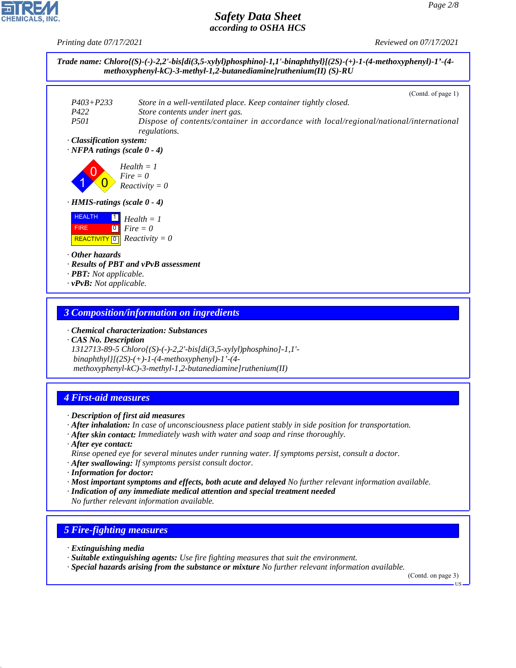*Printing date 07/17/2021 Reviewed on 07/17/2021*



#### *3 Composition/information on ingredients*

*· Chemical characterization: Substances*

*· CAS No. Description 1312713-89-5 Chloro{(S)-(-)-2,2'-bis[di(3,5-xylyl)phosphino]-1,1' binaphthyl}[(2S)-(+)-1-(4-methoxyphenyl)-1'-(4 methoxyphenyl-kC)-3-methyl-1,2-butanediamine]ruthenium(II)*

## *4 First-aid measures*

- *· Description of first aid measures*
- *· After inhalation: In case of unconsciousness place patient stably in side position for transportation.*
- *· After skin contact: Immediately wash with water and soap and rinse thoroughly.*
- *· After eye contact: Rinse opened eye for several minutes under running water. If symptoms persist, consult a doctor.*
- *· After swallowing: If symptoms persist consult doctor.*
- *· Information for doctor:*
- *· Most important symptoms and effects, both acute and delayed No further relevant information available.*
- *· Indication of any immediate medical attention and special treatment needed No further relevant information available.*

#### *5 Fire-fighting measures*

*· Extinguishing media*

44.1.1

- *· Suitable extinguishing agents: Use fire fighting measures that suit the environment.*
- *· Special hazards arising from the substance or mixture No further relevant information available.*

(Contd. on page 3)

US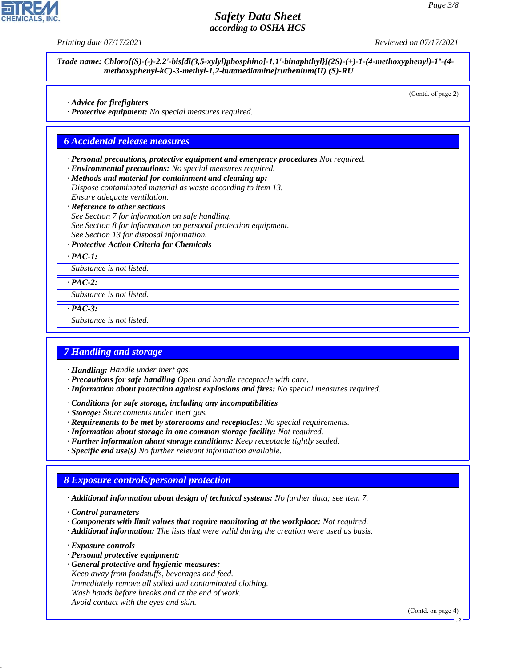

*Printing date 07/17/2021 Reviewed on 07/17/2021*

*Trade name: Chloro{(S)-(-)-2,2'-bis[di(3,5-xylyl)phosphino]-1,1'-binaphthyl}[(2S)-(+)-1-(4-methoxyphenyl)-1'-(4 methoxyphenyl-kC)-3-methyl-1,2-butanediamine]ruthenium(II) (S)-RU*

(Contd. of page 2)

*· Advice for firefighters*

*· Protective equipment: No special measures required.*

#### *6 Accidental release measures*

*· Personal precautions, protective equipment and emergency procedures Not required.*

- *· Environmental precautions: No special measures required.*
- *· Methods and material for containment and cleaning up:*
- *Dispose contaminated material as waste according to item 13. Ensure adequate ventilation.*
- *· Reference to other sections*

*See Section 7 for information on safe handling. See Section 8 for information on personal protection equipment. See Section 13 for disposal information.*

*· Protective Action Criteria for Chemicals*

*· PAC-1:*

*Substance is not listed.*

*· PAC-2:*

*Substance is not listed.*

*· PAC-3:*

*Substance is not listed.*

#### *7 Handling and storage*

- *· Handling: Handle under inert gas.*
- *· Precautions for safe handling Open and handle receptacle with care.*
- *· Information about protection against explosions and fires: No special measures required.*
- *· Conditions for safe storage, including any incompatibilities*
- *· Storage: Store contents under inert gas.*
- *· Requirements to be met by storerooms and receptacles: No special requirements.*
- *· Information about storage in one common storage facility: Not required.*
- *· Further information about storage conditions: Keep receptacle tightly sealed.*
- *· Specific end use(s) No further relevant information available.*

#### *8 Exposure controls/personal protection*

*· Additional information about design of technical systems: No further data; see item 7.*

*· Control parameters*

- *· Components with limit values that require monitoring at the workplace: Not required.*
- *· Additional information: The lists that were valid during the creation were used as basis.*

*· Exposure controls*

44.1.1

- *· Personal protective equipment:*
- *· General protective and hygienic measures: Keep away from foodstuffs, beverages and feed. Immediately remove all soiled and contaminated clothing. Wash hands before breaks and at the end of work. Avoid contact with the eyes and skin.*

(Contd. on page 4)

US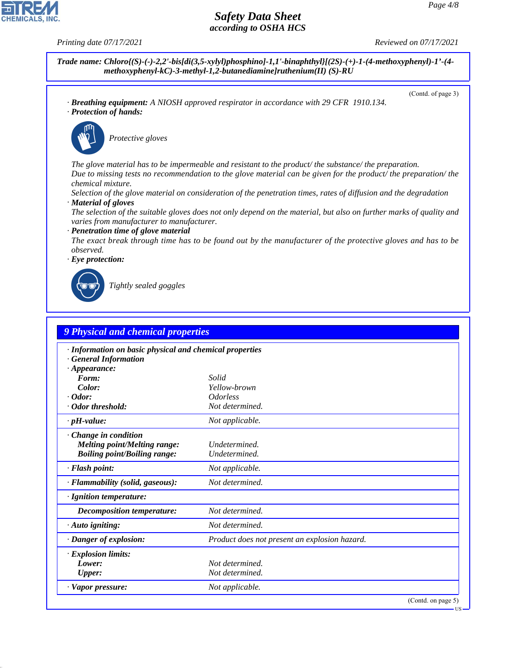**CHEMICALS, INC** 

*Printing date 07/17/2021 Reviewed on 07/17/2021*

(Contd. of page 3)

*Trade name: Chloro{(S)-(-)-2,2'-bis[di(3,5-xylyl)phosphino]-1,1'-binaphthyl}[(2S)-(+)-1-(4-methoxyphenyl)-1'-(4 methoxyphenyl-kC)-3-methyl-1,2-butanediamine]ruthenium(II) (S)-RU*

*· Breathing equipment: A NIOSH approved respirator in accordance with 29 CFR 1910.134. · Protection of hands:*



\_S*Protective gloves*

*The glove material has to be impermeable and resistant to the product/ the substance/ the preparation. Due to missing tests no recommendation to the glove material can be given for the product/ the preparation/ the chemical mixture.*

*Selection of the glove material on consideration of the penetration times, rates of diffusion and the degradation · Material of gloves*

*The selection of the suitable gloves does not only depend on the material, but also on further marks of quality and varies from manufacturer to manufacturer.*

*· Penetration time of glove material*

*The exact break through time has to be found out by the manufacturer of the protective gloves and has to be observed.*

*· Eye protection:*



44.1.1

\_R*Tightly sealed goggles*

| · Information on basic physical and chemical properties |                                               |  |
|---------------------------------------------------------|-----------------------------------------------|--|
| <b>General Information</b><br>$\cdot$ Appearance:       |                                               |  |
| Form:                                                   | Solid                                         |  |
| Color:                                                  | Yellow-brown                                  |  |
| $\cdot$ Odor:                                           | <i><u><b>Odorless</b></u></i>                 |  |
| · Odor threshold:                                       | Not determined.                               |  |
| $\cdot$ pH-value:                                       | Not applicable.                               |  |
| Change in condition                                     |                                               |  |
| <b>Melting point/Melting range:</b>                     | Undetermined.                                 |  |
| <b>Boiling point/Boiling range:</b>                     | Undetermined.                                 |  |
| · Flash point:                                          | Not applicable.                               |  |
| · Flammability (solid, gaseous):                        | Not determined.                               |  |
| · Ignition temperature:                                 |                                               |  |
| <b>Decomposition temperature:</b>                       | Not determined.                               |  |
| $\cdot$ Auto igniting:                                  | Not determined.                               |  |
| · Danger of explosion:                                  | Product does not present an explosion hazard. |  |
| · Explosion limits:                                     |                                               |  |
| Lower:                                                  | Not determined.                               |  |
| <b>Upper:</b>                                           | Not determined.                               |  |
| · Vapor pressure:                                       | Not applicable.                               |  |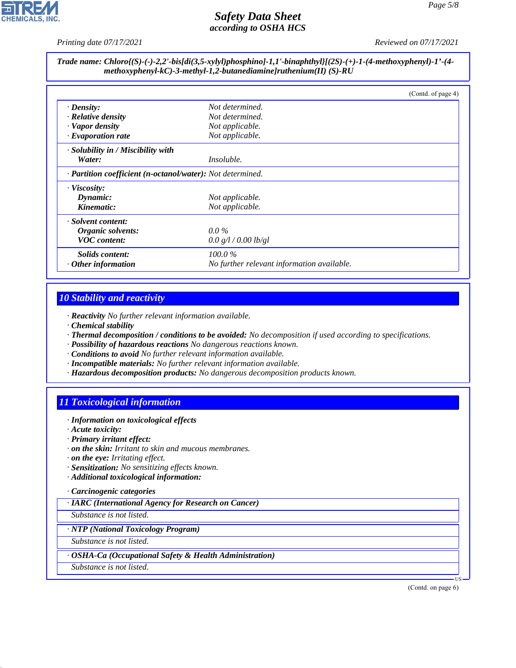

*methoxyphenyl-kC)-3-methyl-1,2-butanediamine]ruthenium(II) (S)-RU*

*Printing date 07/17/2021 Reviewed on 07/17/2021*

# *Trade name: Chloro{(S)-(-)-2,2'-bis[di(3,5-xylyl)phosphino]-1,1'-binaphthyl}[(2S)-(+)-1-(4-methoxyphenyl)-1'-(4-*

|                                                            |                                            | (Contd. of page 4) |
|------------------------------------------------------------|--------------------------------------------|--------------------|
| $\cdot$ Density:                                           | Not determined.                            |                    |
| $\cdot$ Relative density                                   | Not determined.                            |                    |
| · Vapor density                                            | Not applicable.                            |                    |
| $\cdot$ Evaporation rate                                   | Not applicable.                            |                    |
| · Solubility in / Miscibility with                         |                                            |                    |
| Water:                                                     | <i>Insoluble.</i>                          |                    |
| · Partition coefficient (n-octanol/water): Not determined. |                                            |                    |
| $\cdot$ Viscosity:                                         |                                            |                    |
| Dynamic:                                                   | Not applicable.                            |                    |
| Kinematic:                                                 | Not applicable.                            |                    |
| · Solvent content:                                         |                                            |                    |
| Organic solvents:                                          | $0.0\%$                                    |                    |
| <b>VOC</b> content:                                        | 0.0 g/l / 0.00 lb/gl                       |                    |
| <i>Solids content:</i>                                     | $100.0\%$                                  |                    |
| $·$ Other information                                      | No further relevant information available. |                    |

## *10 Stability and reactivity*

*· Reactivity No further relevant information available.*

- *· Chemical stability*
- *· Thermal decomposition / conditions to be avoided: No decomposition if used according to specifications.*
- *· Possibility of hazardous reactions No dangerous reactions known.*
- *· Conditions to avoid No further relevant information available.*
- *· Incompatible materials: No further relevant information available.*
- *· Hazardous decomposition products: No dangerous decomposition products known.*

## *11 Toxicological information*

- *· Information on toxicological effects*
- *· Acute toxicity:*
- *· Primary irritant effect:*
- *· on the skin: Irritant to skin and mucous membranes.*
- *· on the eye: Irritating effect.*
- *· Sensitization: No sensitizing effects known.*
- *· Additional toxicological information:*

#### *· Carcinogenic categories*

*· IARC (International Agency for Research on Cancer)*

*Substance is not listed.*

#### *· NTP (National Toxicology Program)*

*Substance is not listed.*

#### *· OSHA-Ca (Occupational Safety & Health Administration)*

*Substance is not listed.*

44.1.1

(Contd. on page 6)

US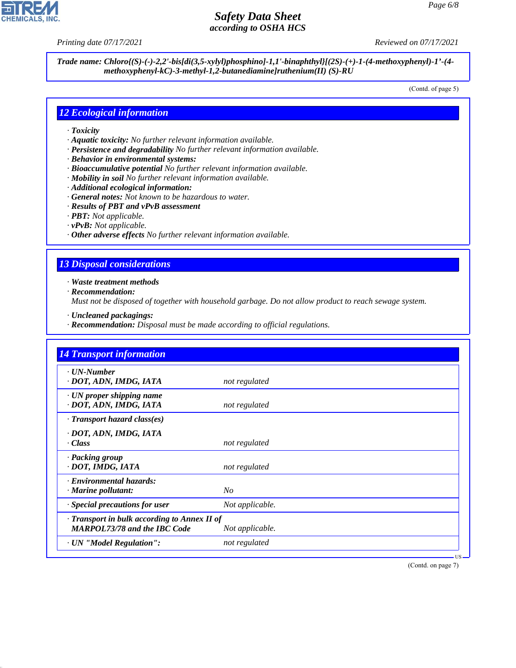**CHEMICALS, INC** 

*Printing date 07/17/2021 Reviewed on 07/17/2021*

*Trade name: Chloro{(S)-(-)-2,2'-bis[di(3,5-xylyl)phosphino]-1,1'-binaphthyl}[(2S)-(+)-1-(4-methoxyphenyl)-1'-(4 methoxyphenyl-kC)-3-methyl-1,2-butanediamine]ruthenium(II) (S)-RU*

(Contd. of page 5)

#### *12 Ecological information*

- *· Toxicity*
- *· Aquatic toxicity: No further relevant information available.*
- *· Persistence and degradability No further relevant information available.*
- *· Behavior in environmental systems:*
- *· Bioaccumulative potential No further relevant information available.*
- *· Mobility in soil No further relevant information available.*
- *· Additional ecological information:*
- *· General notes: Not known to be hazardous to water.*
- *· Results of PBT and vPvB assessment*
- *· PBT: Not applicable.*
- *· vPvB: Not applicable.*
- *· Other adverse effects No further relevant information available.*

### *13 Disposal considerations*

*· Waste treatment methods*

*· Recommendation:*

44.1.1

*Must not be disposed of together with household garbage. Do not allow product to reach sewage system.*

- *· Uncleaned packagings:*
- *· Recommendation: Disposal must be made according to official regulations.*

| <b>14 Transport information</b>                                                     |                 |
|-------------------------------------------------------------------------------------|-----------------|
| $\cdot$ UN-Number<br>· DOT, ADN, IMDG, IATA                                         | not regulated   |
| · UN proper shipping name<br>· DOT, ADN, IMDG, IATA                                 | not regulated   |
| $\cdot$ Transport hazard class(es)                                                  |                 |
| · DOT, ADN, IMDG, IATA<br>· Class                                                   | not regulated   |
| · Packing group<br>· DOT, IMDG, IATA                                                | not regulated   |
| · Environmental hazards:<br>$\cdot$ Marine pollutant:                               | No              |
| · Special precautions for user                                                      | Not applicable. |
| · Transport in bulk according to Annex II of<br><b>MARPOL73/78 and the IBC Code</b> | Not applicable. |
| · UN "Model Regulation":                                                            | not regulated   |

(Contd. on page 7)

US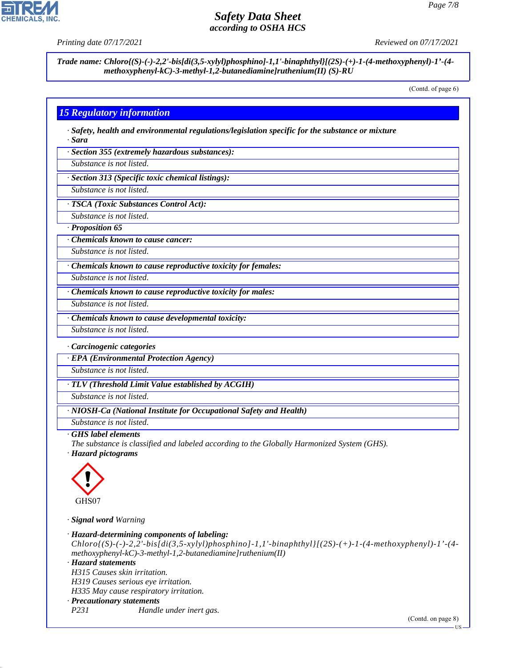

**CHEMICALS** 

*Trade name: Chloro{(S)-(-)-2,2'-bis[di(3,5-xylyl)phosphino]-1,1'-binaphthyl}[(2S)-(+)-1-(4-methoxyphenyl)-1'-(4 methoxyphenyl-kC)-3-methyl-1,2-butanediamine]ruthenium(II) (S)-RU*

(Contd. of page 6)

### *15 Regulatory information*

*· Safety, health and environmental regulations/legislation specific for the substance or mixture · Sara*

*· Section 355 (extremely hazardous substances):*

*Substance is not listed.*

*· Section 313 (Specific toxic chemical listings):*

*Substance is not listed.*

*· TSCA (Toxic Substances Control Act):*

*Substance is not listed.*

*· Proposition 65*

*· Chemicals known to cause cancer:*

*Substance is not listed.*

*· Chemicals known to cause reproductive toxicity for females:*

*Substance is not listed.*

*Substance is not listed.*

*· Chemicals known to cause reproductive toxicity for males:*

*· Chemicals known to cause developmental toxicity:*

*Substance is not listed.*

*· Carcinogenic categories*

*· EPA (Environmental Protection Agency)*

*Substance is not listed.*

*· TLV (Threshold Limit Value established by ACGIH)*

*Substance is not listed.*

*· NIOSH-Ca (National Institute for Occupational Safety and Health)*

*Substance is not listed.*

#### *· GHS label elements*

*The substance is classified and labeled according to the Globally Harmonized System (GHS).*

*· Hazard pictograms*



44.1.1

*· Signal word Warning*

*· Hazard-determining components of labeling:*  $Chloro$  $(S)$ -(-)-2,2'-bis[di(3,5-xylyl)phosphino]-1,1'-binaphthyl][(2S)-(+)-1-(4-methoxyphenyl)-1'-(4*methoxyphenyl-kC)-3-methyl-1,2-butanediamine]ruthenium(II) · Hazard statements H315 Causes skin irritation. H319 Causes serious eye irritation. H335 May cause respiratory irritation. · Precautionary statements P231 Handle under inert gas.* (Contd. on page 8)